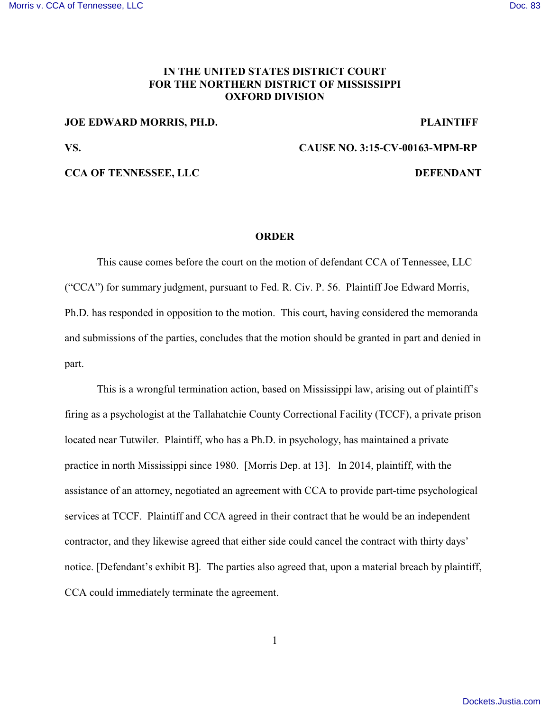## **IN THE UNITED STATES DISTRICT COURT FOR THE NORTHERN DISTRICT OF MISSISSIPPI OXFORD DIVISION**

## **JOE EDWARD MORRIS, PH.D. PLAINTIFF**

**VS. CAUSE NO. 3:15-CV-00163-MPM-RP**

**CCA OF TENNESSEE, LLC DEFENDANT** 

## **ORDER**

This cause comes before the court on the motion of defendant CCA of Tennessee, LLC ("CCA") for summary judgment, pursuant to Fed. R. Civ. P. 56. Plaintiff Joe Edward Morris, Ph.D. has responded in opposition to the motion. This court, having considered the memoranda and submissions of the parties, concludes that the motion should be granted in part and denied in part.

This is a wrongful termination action, based on Mississippi law, arising out of plaintiff's firing as a psychologist at the Tallahatchie County Correctional Facility (TCCF), a private prison located near Tutwiler. Plaintiff, who has a Ph.D. in psychology, has maintained a private practice in north Mississippi since 1980. [Morris Dep. at 13]. In 2014, plaintiff, with the assistance of an attorney, negotiated an agreement with CCA to provide part-time psychological services at TCCF. Plaintiff and CCA agreed in their contract that he would be an independent contractor, and they likewise agreed that either side could cancel the contract with thirty days' notice. [Defendant's exhibit B]. The parties also agreed that, upon a material breach by plaintiff, CCA could immediately terminate the agreement.

1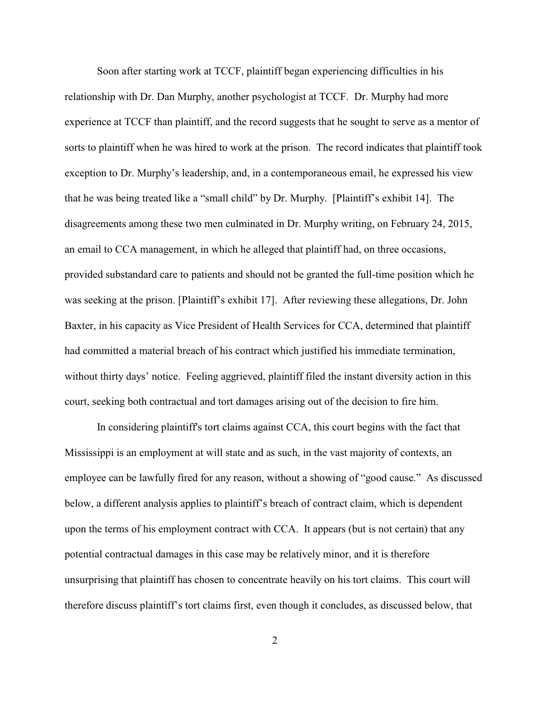Soon after starting work at TCCF, plaintiff began experiencing difficulties in his relationship with Dr. Dan Murphy, another psychologist at TCCF. Dr. Murphy had more experience at TCCF than plaintiff, and the record suggests that he sought to serve as a mentor of sorts to plaintiff when he was hired to work at the prison. The record indicates that plaintiff took exception to Dr. Murphy's leadership, and, in a contemporaneous email, he expressed his view that he was being treated like a "small child" by Dr. Murphy. [Plaintiff's exhibit 14]. The disagreements among these two men culminated in Dr. Murphy writing, on February 24, 2015, an email to CCA management, in which he alleged that plaintiff had, on three occasions, provided substandard care to patients and should not be granted the full-time position which he was seeking at the prison. [Plaintiff's exhibit 17]. After reviewing these allegations, Dr. John Baxter, in his capacity as Vice President of Health Services for CCA, determined that plaintiff had committed a material breach of his contract which justified his immediate termination, without thirty days' notice. Feeling aggrieved, plaintiff filed the instant diversity action in this court, seeking both contractual and tort damages arising out of the decision to fire him.

In considering plaintiff's tort claims against CCA, this court begins with the fact that Mississippi is an employment at will state and as such, in the vast majority of contexts, an employee can be lawfully fired for any reason, without a showing of "good cause." As discussed below, a different analysis applies to plaintiff's breach of contract claim, which is dependent upon the terms of his employment contract with CCA. It appears (but is not certain) that any potential contractual damages in this case may be relatively minor, and it is therefore unsurprising that plaintiff has chosen to concentrate heavily on his tort claims. This court will therefore discuss plaintiff's tort claims first, even though it concludes, as discussed below, that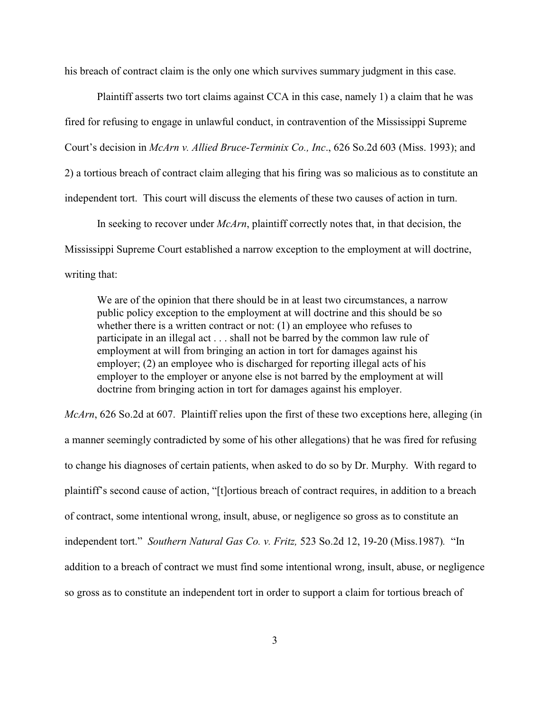his breach of contract claim is the only one which survives summary judgment in this case.

Plaintiff asserts two tort claims against CCA in this case, namely 1) a claim that he was fired for refusing to engage in unlawful conduct, in contravention of the Mississippi Supreme Court's decision in *McArn v. Allied Bruce-Terminix Co., Inc*., 626 So.2d 603 (Miss. 1993); and 2) a tortious breach of contract claim alleging that his firing was so malicious as to constitute an independent tort. This court will discuss the elements of these two causes of action in turn.

In seeking to recover under *McArn*, plaintiff correctly notes that, in that decision, the Mississippi Supreme Court established a narrow exception to the employment at will doctrine, writing that:

We are of the opinion that there should be in at least two circumstances, a narrow public policy exception to the employment at will doctrine and this should be so whether there is a written contract or not: (1) an employee who refuses to participate in an illegal act . . . shall not be barred by the common law rule of employment at will from bringing an action in tort for damages against his employer; (2) an employee who is discharged for reporting illegal acts of his employer to the employer or anyone else is not barred by the employment at will doctrine from bringing action in tort for damages against his employer.

*McArn*, 626 So.2d at 607. Plaintiff relies upon the first of these two exceptions here, alleging (in a manner seemingly contradicted by some of his other allegations) that he was fired for refusing to change his diagnoses of certain patients, when asked to do so by Dr. Murphy. With regard to plaintiff's second cause of action, "[t]ortious breach of contract requires, in addition to a breach of contract, some intentional wrong, insult, abuse, or negligence so gross as to constitute an independent tort." *Southern Natural Gas Co. v. Fritz,* 523 So.2d 12, 19-20 (Miss.1987)*.* "In addition to a breach of contract we must find some intentional wrong, insult, abuse, or negligence so gross as to constitute an independent tort in order to support a claim for tortious breach of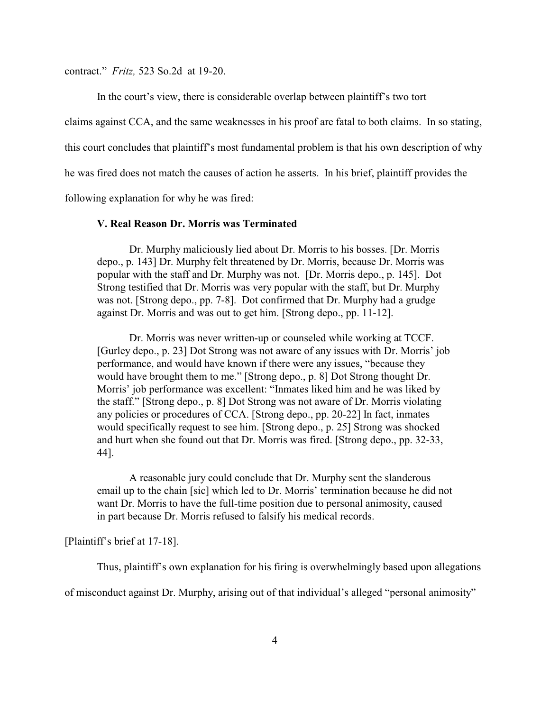contract." *Fritz,* 523 So.2d at 19-20.

In the court's view, there is considerable overlap between plaintiff's two tort

claims against CCA, and the same weaknesses in his proof are fatal to both claims. In so stating,

this court concludes that plaintiff's most fundamental problem is that his own description of why

he was fired does not match the causes of action he asserts. In his brief, plaintiff provides the

following explanation for why he was fired:

## **V. Real Reason Dr. Morris was Terminated**

Dr. Murphy maliciously lied about Dr. Morris to his bosses. [Dr. Morris depo., p. 143] Dr. Murphy felt threatened by Dr. Morris, because Dr. Morris was popular with the staff and Dr. Murphy was not. [Dr. Morris depo., p. 145]. Dot Strong testified that Dr. Morris was very popular with the staff, but Dr. Murphy was not. [Strong depo., pp. 7-8]. Dot confirmed that Dr. Murphy had a grudge against Dr. Morris and was out to get him. [Strong depo., pp. 11-12].

Dr. Morris was never written-up or counseled while working at TCCF. [Gurley depo., p. 23] Dot Strong was not aware of any issues with Dr. Morris' job performance, and would have known if there were any issues, "because they would have brought them to me." [Strong depo., p. 8] Dot Strong thought Dr. Morris' job performance was excellent: "Inmates liked him and he was liked by the staff." [Strong depo., p. 8] Dot Strong was not aware of Dr. Morris violating any policies or procedures of CCA. [Strong depo., pp. 20-22] In fact, inmates would specifically request to see him. [Strong depo., p. 25] Strong was shocked and hurt when she found out that Dr. Morris was fired. [Strong depo., pp. 32-33, 44].

A reasonable jury could conclude that Dr. Murphy sent the slanderous email up to the chain [sic] which led to Dr. Morris' termination because he did not want Dr. Morris to have the full-time position due to personal animosity, caused in part because Dr. Morris refused to falsify his medical records.

[Plaintiff's brief at 17-18].

Thus, plaintiff's own explanation for his firing is overwhelmingly based upon allegations

of misconduct against Dr. Murphy, arising out of that individual's alleged "personal animosity"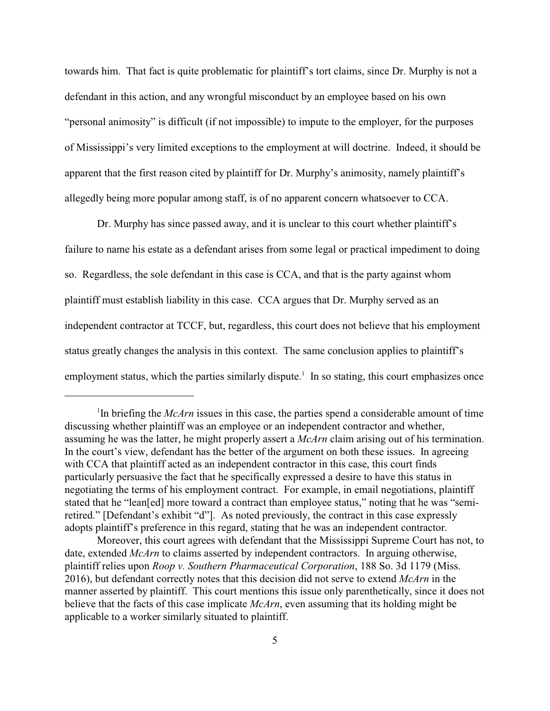towards him. That fact is quite problematic for plaintiff's tort claims, since Dr. Murphy is not a defendant in this action, and any wrongful misconduct by an employee based on his own "personal animosity" is difficult (if not impossible) to impute to the employer, for the purposes of Mississippi's very limited exceptions to the employment at will doctrine. Indeed, it should be apparent that the first reason cited by plaintiff for Dr. Murphy's animosity, namely plaintiff's allegedly being more popular among staff, is of no apparent concern whatsoever to CCA.

Dr. Murphy has since passed away, and it is unclear to this court whether plaintiff's failure to name his estate as a defendant arises from some legal or practical impediment to doing so. Regardless, the sole defendant in this case is CCA, and that is the party against whom plaintiff must establish liability in this case. CCA argues that Dr. Murphy served as an independent contractor at TCCF, but, regardless, this court does not believe that his employment status greatly changes the analysis in this context. The same conclusion applies to plaintiff's employment status, which the parties similarly dispute.<sup>1</sup> In so stating, this court emphasizes once

<sup>&</sup>lt;sup>1</sup>In briefing the *McArn* issues in this case, the parties spend a considerable amount of time discussing whether plaintiff was an employee or an independent contractor and whether, assuming he was the latter, he might properly assert a *McArn* claim arising out of his termination. In the court's view, defendant has the better of the argument on both these issues. In agreeing with CCA that plaintiff acted as an independent contractor in this case, this court finds particularly persuasive the fact that he specifically expressed a desire to have this status in negotiating the terms of his employment contract. For example, in email negotiations, plaintiff stated that he "lean[ed] more toward a contract than employee status," noting that he was "semiretired." [Defendant's exhibit "d"]. As noted previously, the contract in this case expressly adopts plaintiff's preference in this regard, stating that he was an independent contractor.

Moreover, this court agrees with defendant that the Mississippi Supreme Court has not, to date, extended *McArn* to claims asserted by independent contractors. In arguing otherwise, plaintiff relies upon *Roop v. Southern Pharmaceutical Corporation*, 188 So. 3d 1179 (Miss. 2016), but defendant correctly notes that this decision did not serve to extend *McArn* in the manner asserted by plaintiff. This court mentions this issue only parenthetically, since it does not believe that the facts of this case implicate *McArn*, even assuming that its holding might be applicable to a worker similarly situated to plaintiff.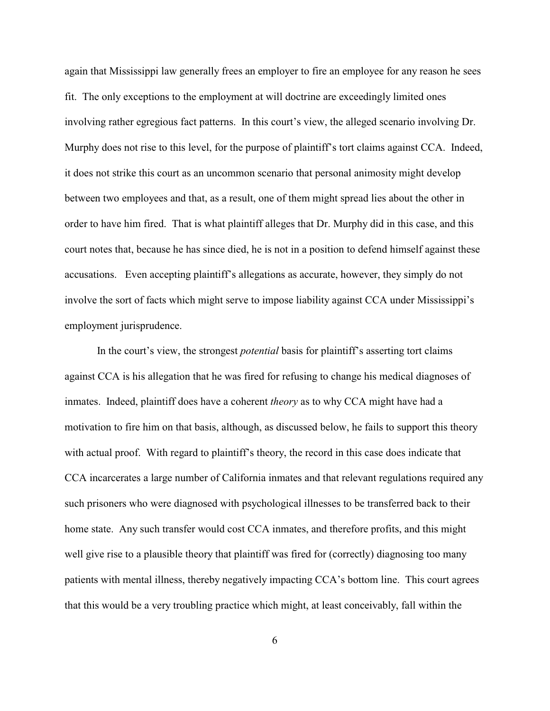again that Mississippi law generally frees an employer to fire an employee for any reason he sees fit. The only exceptions to the employment at will doctrine are exceedingly limited ones involving rather egregious fact patterns. In this court's view, the alleged scenario involving Dr. Murphy does not rise to this level, for the purpose of plaintiff's tort claims against CCA. Indeed, it does not strike this court as an uncommon scenario that personal animosity might develop between two employees and that, as a result, one of them might spread lies about the other in order to have him fired. That is what plaintiff alleges that Dr. Murphy did in this case, and this court notes that, because he has since died, he is not in a position to defend himself against these accusations. Even accepting plaintiff's allegations as accurate, however, they simply do not involve the sort of facts which might serve to impose liability against CCA under Mississippi's employment jurisprudence.

In the court's view, the strongest *potential* basis for plaintiff's asserting tort claims against CCA is his allegation that he was fired for refusing to change his medical diagnoses of inmates. Indeed, plaintiff does have a coherent *theory* as to why CCA might have had a motivation to fire him on that basis, although, as discussed below, he fails to support this theory with actual proof. With regard to plaintiff's theory, the record in this case does indicate that CCA incarcerates a large number of California inmates and that relevant regulations required any such prisoners who were diagnosed with psychological illnesses to be transferred back to their home state. Any such transfer would cost CCA inmates, and therefore profits, and this might well give rise to a plausible theory that plaintiff was fired for (correctly) diagnosing too many patients with mental illness, thereby negatively impacting CCA's bottom line. This court agrees that this would be a very troubling practice which might, at least conceivably, fall within the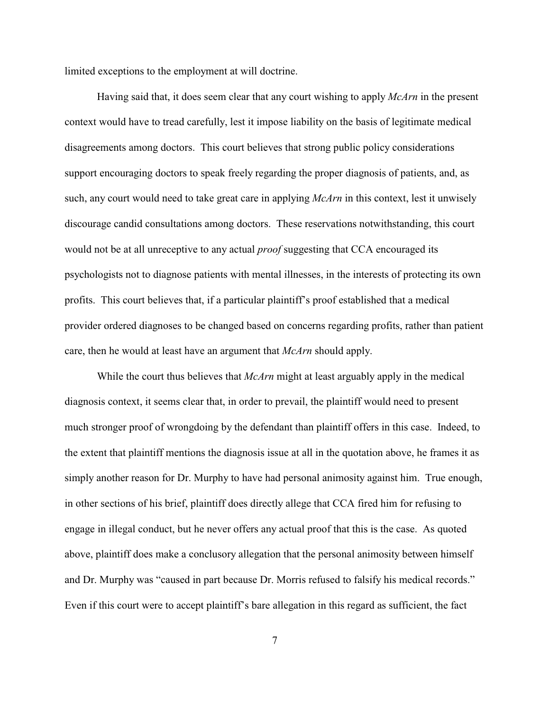limited exceptions to the employment at will doctrine.

Having said that, it does seem clear that any court wishing to apply *McArn* in the present context would have to tread carefully, lest it impose liability on the basis of legitimate medical disagreements among doctors. This court believes that strong public policy considerations support encouraging doctors to speak freely regarding the proper diagnosis of patients, and, as such, any court would need to take great care in applying *McArn* in this context, lest it unwisely discourage candid consultations among doctors. These reservations notwithstanding, this court would not be at all unreceptive to any actual *proof* suggesting that CCA encouraged its psychologists not to diagnose patients with mental illnesses, in the interests of protecting its own profits. This court believes that, if a particular plaintiff's proof established that a medical provider ordered diagnoses to be changed based on concerns regarding profits, rather than patient care, then he would at least have an argument that *McArn* should apply.

While the court thus believes that *McArn* might at least arguably apply in the medical diagnosis context, it seems clear that, in order to prevail, the plaintiff would need to present much stronger proof of wrongdoing by the defendant than plaintiff offers in this case. Indeed, to the extent that plaintiff mentions the diagnosis issue at all in the quotation above, he frames it as simply another reason for Dr. Murphy to have had personal animosity against him. True enough, in other sections of his brief, plaintiff does directly allege that CCA fired him for refusing to engage in illegal conduct, but he never offers any actual proof that this is the case. As quoted above, plaintiff does make a conclusory allegation that the personal animosity between himself and Dr. Murphy was "caused in part because Dr. Morris refused to falsify his medical records." Even if this court were to accept plaintiff's bare allegation in this regard as sufficient, the fact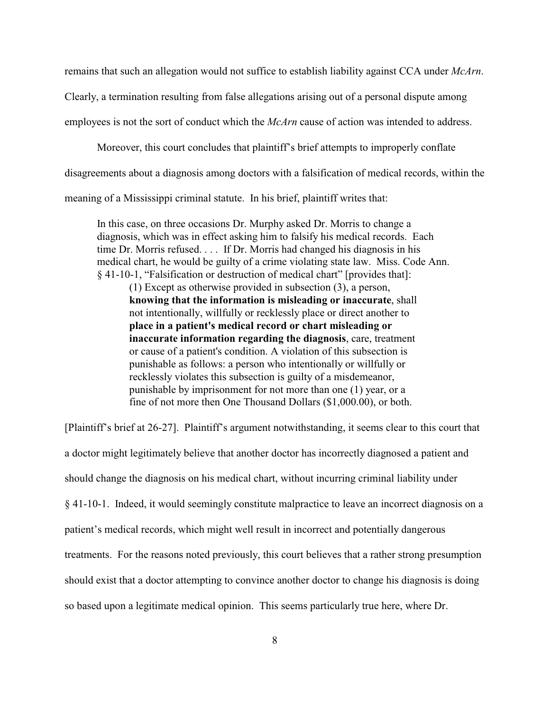remains that such an allegation would not suffice to establish liability against CCA under *McArn*.

Clearly, a termination resulting from false allegations arising out of a personal dispute among

employees is not the sort of conduct which the *McArn* cause of action was intended to address.

Moreover, this court concludes that plaintiff's brief attempts to improperly conflate

disagreements about a diagnosis among doctors with a falsification of medical records, within the

meaning of a Mississippi criminal statute. In his brief, plaintiff writes that:

In this case, on three occasions Dr. Murphy asked Dr. Morris to change a diagnosis, which was in effect asking him to falsify his medical records. Each time Dr. Morris refused. . . . If Dr. Morris had changed his diagnosis in his medical chart, he would be guilty of a crime violating state law. Miss. Code Ann. § 41-10-1, "Falsification or destruction of medical chart" [provides that]:

(1) Except as otherwise provided in subsection (3), a person, **knowing that the information is misleading or inaccurate**, shall not intentionally, willfully or recklessly place or direct another to **place in a patient's medical record or chart misleading or inaccurate information regarding the diagnosis**, care, treatment or cause of a patient's condition. A violation of this subsection is punishable as follows: a person who intentionally or willfully or recklessly violates this subsection is guilty of a misdemeanor, punishable by imprisonment for not more than one (1) year, or a fine of not more then One Thousand Dollars (\$1,000.00), or both.

[Plaintiff's brief at 26-27]. Plaintiff's argument notwithstanding, it seems clear to this court that a doctor might legitimately believe that another doctor has incorrectly diagnosed a patient and should change the diagnosis on his medical chart, without incurring criminal liability under § 41-10-1. Indeed, it would seemingly constitute malpractice to leave an incorrect diagnosis on a patient's medical records, which might well result in incorrect and potentially dangerous treatments. For the reasons noted previously, this court believes that a rather strong presumption should exist that a doctor attempting to convince another doctor to change his diagnosis is doing so based upon a legitimate medical opinion. This seems particularly true here, where Dr.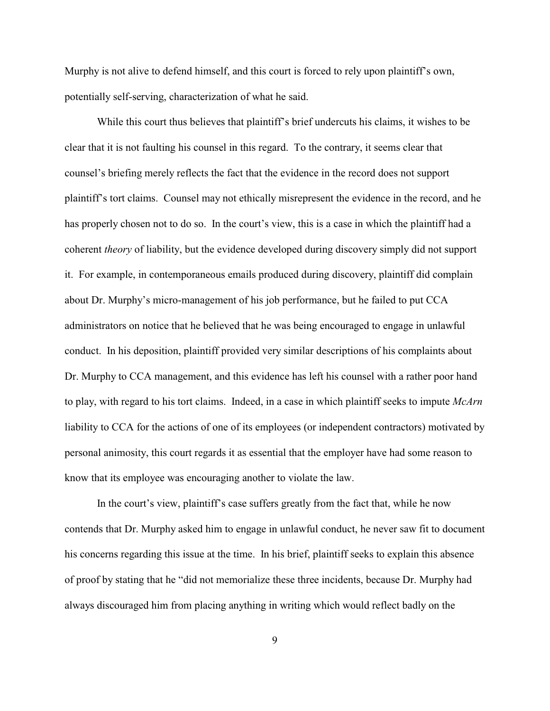Murphy is not alive to defend himself, and this court is forced to rely upon plaintiff's own, potentially self-serving, characterization of what he said.

While this court thus believes that plaintiff's brief undercuts his claims, it wishes to be clear that it is not faulting his counsel in this regard. To the contrary, it seems clear that counsel's briefing merely reflects the fact that the evidence in the record does not support plaintiff's tort claims. Counsel may not ethically misrepresent the evidence in the record, and he has properly chosen not to do so. In the court's view, this is a case in which the plaintiff had a coherent *theory* of liability, but the evidence developed during discovery simply did not support it. For example, in contemporaneous emails produced during discovery, plaintiff did complain about Dr. Murphy's micro-management of his job performance, but he failed to put CCA administrators on notice that he believed that he was being encouraged to engage in unlawful conduct. In his deposition, plaintiff provided very similar descriptions of his complaints about Dr. Murphy to CCA management, and this evidence has left his counsel with a rather poor hand to play, with regard to his tort claims. Indeed, in a case in which plaintiff seeks to impute *McArn* liability to CCA for the actions of one of its employees (or independent contractors) motivated by personal animosity, this court regards it as essential that the employer have had some reason to know that its employee was encouraging another to violate the law.

In the court's view, plaintiff's case suffers greatly from the fact that, while he now contends that Dr. Murphy asked him to engage in unlawful conduct, he never saw fit to document his concerns regarding this issue at the time. In his brief, plaintiff seeks to explain this absence of proof by stating that he "did not memorialize these three incidents, because Dr. Murphy had always discouraged him from placing anything in writing which would reflect badly on the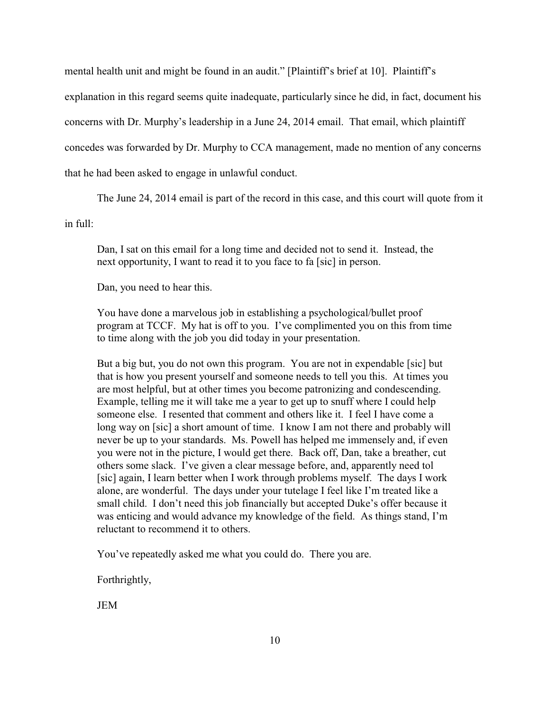mental health unit and might be found in an audit." [Plaintiff's brief at 10]. Plaintiff's

explanation in this regard seems quite inadequate, particularly since he did, in fact, document his

concerns with Dr. Murphy's leadership in a June 24, 2014 email. That email, which plaintiff

concedes was forwarded by Dr. Murphy to CCA management, made no mention of any concerns

that he had been asked to engage in unlawful conduct.

The June 24, 2014 email is part of the record in this case, and this court will quote from it

in full:

Dan, I sat on this email for a long time and decided not to send it. Instead, the next opportunity, I want to read it to you face to fa [sic] in person.

Dan, you need to hear this.

You have done a marvelous job in establishing a psychological/bullet proof program at TCCF. My hat is off to you. I've complimented you on this from time to time along with the job you did today in your presentation.

But a big but, you do not own this program. You are not in expendable [sic] but that is how you present yourself and someone needs to tell you this. At times you are most helpful, but at other times you become patronizing and condescending. Example, telling me it will take me a year to get up to snuff where I could help someone else. I resented that comment and others like it. I feel I have come a long way on [sic] a short amount of time. I know I am not there and probably will never be up to your standards. Ms. Powell has helped me immensely and, if even you were not in the picture, I would get there. Back off, Dan, take a breather, cut others some slack. I've given a clear message before, and, apparently need tol [sic] again, I learn better when I work through problems myself. The days I work alone, are wonderful. The days under your tutelage I feel like I'm treated like a small child. I don't need this job financially but accepted Duke's offer because it was enticing and would advance my knowledge of the field. As things stand, I'm reluctant to recommend it to others.

You've repeatedly asked me what you could do. There you are.

Forthrightly,

JEM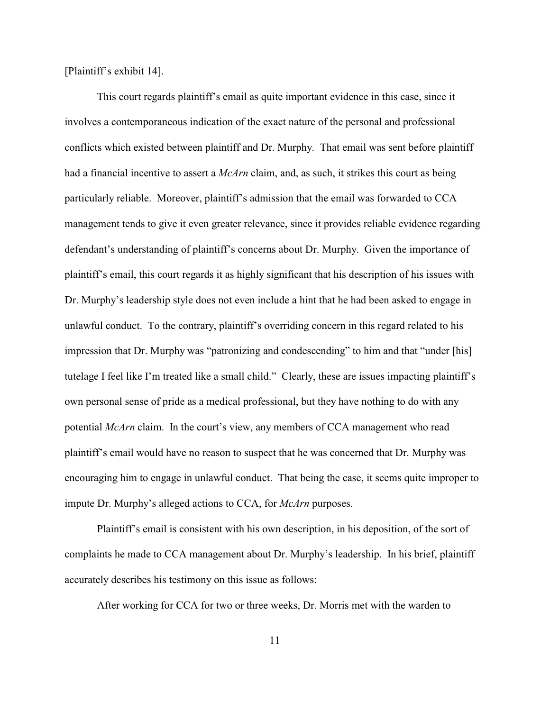[Plaintiff's exhibit 14].

This court regards plaintiff's email as quite important evidence in this case, since it involves a contemporaneous indication of the exact nature of the personal and professional conflicts which existed between plaintiff and Dr. Murphy. That email was sent before plaintiff had a financial incentive to assert a *McArn* claim, and, as such, it strikes this court as being particularly reliable. Moreover, plaintiff's admission that the email was forwarded to CCA management tends to give it even greater relevance, since it provides reliable evidence regarding defendant's understanding of plaintiff's concerns about Dr. Murphy. Given the importance of plaintiff's email, this court regards it as highly significant that his description of his issues with Dr. Murphy's leadership style does not even include a hint that he had been asked to engage in unlawful conduct. To the contrary, plaintiff's overriding concern in this regard related to his impression that Dr. Murphy was "patronizing and condescending" to him and that "under [his] tutelage I feel like I'm treated like a small child." Clearly, these are issues impacting plaintiff's own personal sense of pride as a medical professional, but they have nothing to do with any potential *McArn* claim. In the court's view, any members of CCA management who read plaintiff's email would have no reason to suspect that he was concerned that Dr. Murphy was encouraging him to engage in unlawful conduct. That being the case, it seems quite improper to impute Dr. Murphy's alleged actions to CCA, for *McArn* purposes.

Plaintiff's email is consistent with his own description, in his deposition, of the sort of complaints he made to CCA management about Dr. Murphy's leadership. In his brief, plaintiff accurately describes his testimony on this issue as follows:

After working for CCA for two or three weeks, Dr. Morris met with the warden to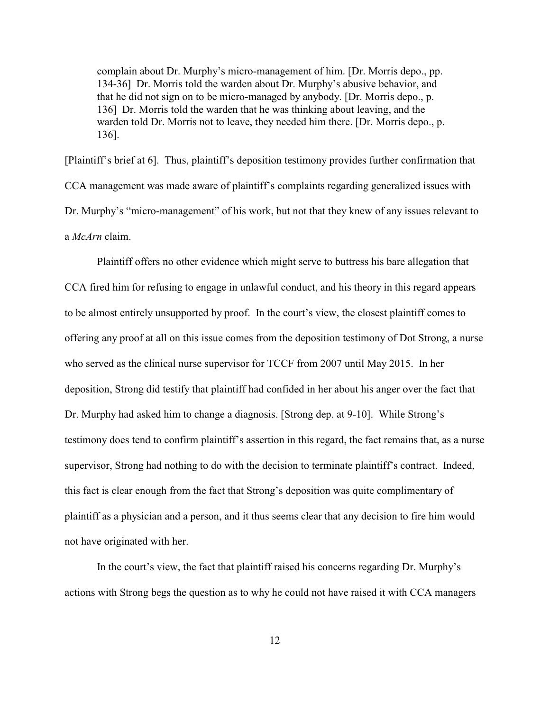complain about Dr. Murphy's micro-management of him. [Dr. Morris depo., pp. 134-36] Dr. Morris told the warden about Dr. Murphy's abusive behavior, and that he did not sign on to be micro-managed by anybody. [Dr. Morris depo., p. 136] Dr. Morris told the warden that he was thinking about leaving, and the warden told Dr. Morris not to leave, they needed him there. [Dr. Morris depo., p. 136].

[Plaintiff's brief at 6]. Thus, plaintiff's deposition testimony provides further confirmation that CCA management was made aware of plaintiff's complaints regarding generalized issues with Dr. Murphy's "micro-management" of his work, but not that they knew of any issues relevant to a *McArn* claim.

Plaintiff offers no other evidence which might serve to buttress his bare allegation that CCA fired him for refusing to engage in unlawful conduct, and his theory in this regard appears to be almost entirely unsupported by proof. In the court's view, the closest plaintiff comes to offering any proof at all on this issue comes from the deposition testimony of Dot Strong, a nurse who served as the clinical nurse supervisor for TCCF from 2007 until May 2015. In her deposition, Strong did testify that plaintiff had confided in her about his anger over the fact that Dr. Murphy had asked him to change a diagnosis. [Strong dep. at 9-10]. While Strong's testimony does tend to confirm plaintiff's assertion in this regard, the fact remains that, as a nurse supervisor, Strong had nothing to do with the decision to terminate plaintiff's contract. Indeed, this fact is clear enough from the fact that Strong's deposition was quite complimentary of plaintiff as a physician and a person, and it thus seems clear that any decision to fire him would not have originated with her.

In the court's view, the fact that plaintiff raised his concerns regarding Dr. Murphy's actions with Strong begs the question as to why he could not have raised it with CCA managers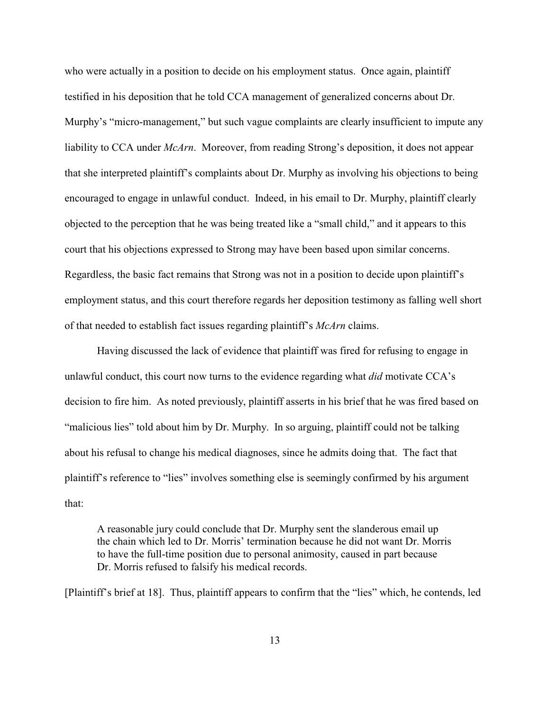who were actually in a position to decide on his employment status. Once again, plaintiff testified in his deposition that he told CCA management of generalized concerns about Dr. Murphy's "micro-management," but such vague complaints are clearly insufficient to impute any liability to CCA under *McArn*. Moreover, from reading Strong's deposition, it does not appear that she interpreted plaintiff's complaints about Dr. Murphy as involving his objections to being encouraged to engage in unlawful conduct. Indeed, in his email to Dr. Murphy, plaintiff clearly objected to the perception that he was being treated like a "small child," and it appears to this court that his objections expressed to Strong may have been based upon similar concerns. Regardless, the basic fact remains that Strong was not in a position to decide upon plaintiff's employment status, and this court therefore regards her deposition testimony as falling well short of that needed to establish fact issues regarding plaintiff's *McArn* claims.

Having discussed the lack of evidence that plaintiff was fired for refusing to engage in unlawful conduct, this court now turns to the evidence regarding what *did* motivate CCA's decision to fire him. As noted previously, plaintiff asserts in his brief that he was fired based on "malicious lies" told about him by Dr. Murphy. In so arguing, plaintiff could not be talking about his refusal to change his medical diagnoses, since he admits doing that. The fact that plaintiff's reference to "lies" involves something else is seemingly confirmed by his argument that:

A reasonable jury could conclude that Dr. Murphy sent the slanderous email up the chain which led to Dr. Morris' termination because he did not want Dr. Morris to have the full-time position due to personal animosity, caused in part because Dr. Morris refused to falsify his medical records.

[Plaintiff's brief at 18]. Thus, plaintiff appears to confirm that the "lies" which, he contends, led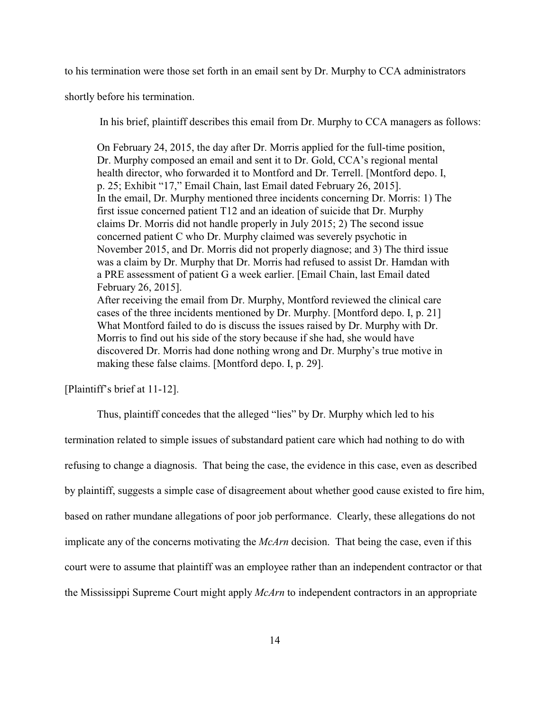to his termination were those set forth in an email sent by Dr. Murphy to CCA administrators

shortly before his termination.

In his brief, plaintiff describes this email from Dr. Murphy to CCA managers as follows:

On February 24, 2015, the day after Dr. Morris applied for the full-time position, Dr. Murphy composed an email and sent it to Dr. Gold, CCA's regional mental health director, who forwarded it to Montford and Dr. Terrell. [Montford depo. I, p. 25; Exhibit "17," Email Chain, last Email dated February 26, 2015]. In the email, Dr. Murphy mentioned three incidents concerning Dr. Morris: 1) The first issue concerned patient T12 and an ideation of suicide that Dr. Murphy claims Dr. Morris did not handle properly in July 2015; 2) The second issue concerned patient C who Dr. Murphy claimed was severely psychotic in November 2015, and Dr. Morris did not properly diagnose; and 3) The third issue was a claim by Dr. Murphy that Dr. Morris had refused to assist Dr. Hamdan with a PRE assessment of patient G a week earlier. [Email Chain, last Email dated February 26, 2015].

After receiving the email from Dr. Murphy, Montford reviewed the clinical care cases of the three incidents mentioned by Dr. Murphy. [Montford depo. I, p. 21] What Montford failed to do is discuss the issues raised by Dr. Murphy with Dr. Morris to find out his side of the story because if she had, she would have discovered Dr. Morris had done nothing wrong and Dr. Murphy's true motive in making these false claims. [Montford depo. I, p. 29].

[Plaintiff's brief at 11-12].

Thus, plaintiff concedes that the alleged "lies" by Dr. Murphy which led to his termination related to simple issues of substandard patient care which had nothing to do with refusing to change a diagnosis. That being the case, the evidence in this case, even as described by plaintiff, suggests a simple case of disagreement about whether good cause existed to fire him, based on rather mundane allegations of poor job performance. Clearly, these allegations do not implicate any of the concerns motivating the *McArn* decision. That being the case, even if this court were to assume that plaintiff was an employee rather than an independent contractor or that the Mississippi Supreme Court might apply *McArn* to independent contractors in an appropriate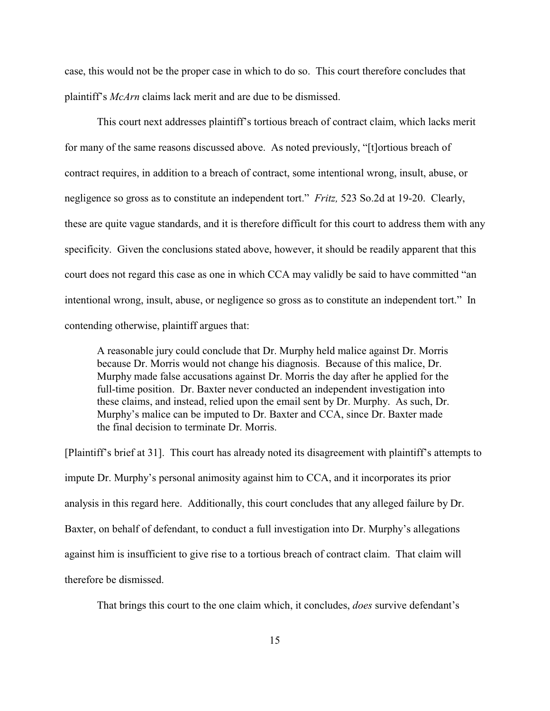case, this would not be the proper case in which to do so. This court therefore concludes that plaintiff's *McArn* claims lack merit and are due to be dismissed.

This court next addresses plaintiff's tortious breach of contract claim, which lacks merit for many of the same reasons discussed above. As noted previously, "[t]ortious breach of contract requires, in addition to a breach of contract, some intentional wrong, insult, abuse, or negligence so gross as to constitute an independent tort." *Fritz,* 523 So.2d at 19-20. Clearly, these are quite vague standards, and it is therefore difficult for this court to address them with any specificity. Given the conclusions stated above, however, it should be readily apparent that this court does not regard this case as one in which CCA may validly be said to have committed "an intentional wrong, insult, abuse, or negligence so gross as to constitute an independent tort." In contending otherwise, plaintiff argues that:

A reasonable jury could conclude that Dr. Murphy held malice against Dr. Morris because Dr. Morris would not change his diagnosis. Because of this malice, Dr. Murphy made false accusations against Dr. Morris the day after he applied for the full-time position. Dr. Baxter never conducted an independent investigation into these claims, and instead, relied upon the email sent by Dr. Murphy. As such, Dr. Murphy's malice can be imputed to Dr. Baxter and CCA, since Dr. Baxter made the final decision to terminate Dr. Morris.

[Plaintiff's brief at 31]. This court has already noted its disagreement with plaintiff's attempts to impute Dr. Murphy's personal animosity against him to CCA, and it incorporates its prior analysis in this regard here. Additionally, this court concludes that any alleged failure by Dr. Baxter, on behalf of defendant, to conduct a full investigation into Dr. Murphy's allegations against him is insufficient to give rise to a tortious breach of contract claim. That claim will therefore be dismissed.

That brings this court to the one claim which, it concludes, *does* survive defendant's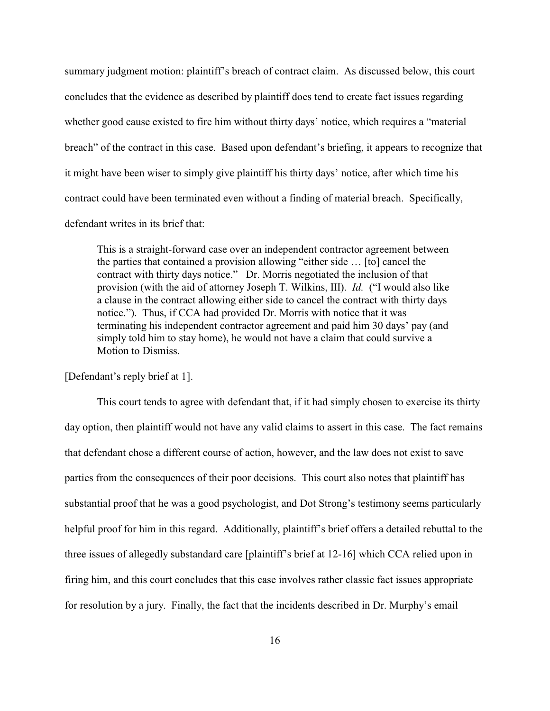summary judgment motion: plaintiff's breach of contract claim. As discussed below, this court concludes that the evidence as described by plaintiff does tend to create fact issues regarding whether good cause existed to fire him without thirty days' notice, which requires a "material breach" of the contract in this case. Based upon defendant's briefing, it appears to recognize that it might have been wiser to simply give plaintiff his thirty days' notice, after which time his contract could have been terminated even without a finding of material breach. Specifically, defendant writes in its brief that:

This is a straight-forward case over an independent contractor agreement between the parties that contained a provision allowing "either side … [to] cancel the contract with thirty days notice." Dr. Morris negotiated the inclusion of that provision (with the aid of attorney Joseph T. Wilkins, III). *Id.* ("I would also like a clause in the contract allowing either side to cancel the contract with thirty days notice."). Thus, if CCA had provided Dr. Morris with notice that it was terminating his independent contractor agreement and paid him 30 days' pay (and simply told him to stay home), he would not have a claim that could survive a Motion to Dismiss.

[Defendant's reply brief at 1].

This court tends to agree with defendant that, if it had simply chosen to exercise its thirty day option, then plaintiff would not have any valid claims to assert in this case. The fact remains that defendant chose a different course of action, however, and the law does not exist to save parties from the consequences of their poor decisions. This court also notes that plaintiff has substantial proof that he was a good psychologist, and Dot Strong's testimony seems particularly helpful proof for him in this regard. Additionally, plaintiff's brief offers a detailed rebuttal to the three issues of allegedly substandard care [plaintiff's brief at 12-16] which CCA relied upon in firing him, and this court concludes that this case involves rather classic fact issues appropriate for resolution by a jury. Finally, the fact that the incidents described in Dr. Murphy's email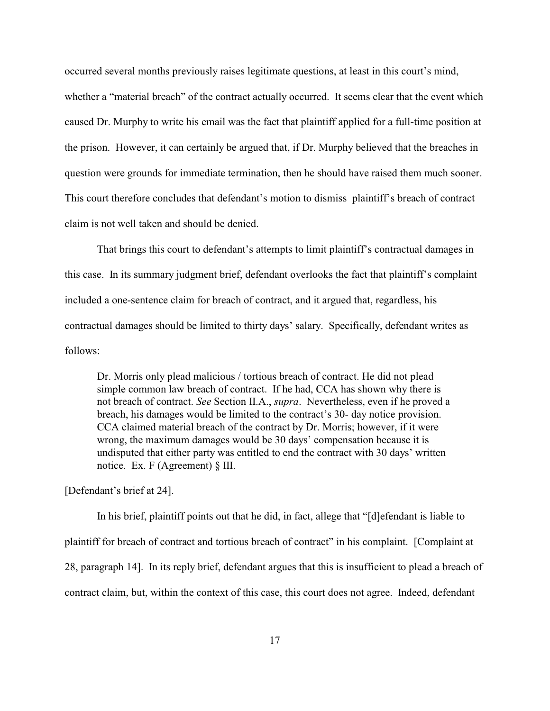occurred several months previously raises legitimate questions, at least in this court's mind,

whether a "material breach" of the contract actually occurred. It seems clear that the event which caused Dr. Murphy to write his email was the fact that plaintiff applied for a full-time position at the prison. However, it can certainly be argued that, if Dr. Murphy believed that the breaches in question were grounds for immediate termination, then he should have raised them much sooner. This court therefore concludes that defendant's motion to dismiss plaintiff's breach of contract claim is not well taken and should be denied.

That brings this court to defendant's attempts to limit plaintiff's contractual damages in this case. In its summary judgment brief, defendant overlooks the fact that plaintiff's complaint included a one-sentence claim for breach of contract, and it argued that, regardless, his contractual damages should be limited to thirty days' salary. Specifically, defendant writes as follows:

Dr. Morris only plead malicious / tortious breach of contract. He did not plead simple common law breach of contract. If he had, CCA has shown why there is not breach of contract. *See* Section II.A., *supra*. Nevertheless, even if he proved a breach, his damages would be limited to the contract's 30- day notice provision. CCA claimed material breach of the contract by Dr. Morris; however, if it were wrong, the maximum damages would be 30 days' compensation because it is undisputed that either party was entitled to end the contract with 30 days' written notice. Ex. F (Agreement) § III.

[Defendant's brief at 24].

In his brief, plaintiff points out that he did, in fact, allege that "[d]efendant is liable to plaintiff for breach of contract and tortious breach of contract" in his complaint. [Complaint at 28, paragraph 14]. In its reply brief, defendant argues that this is insufficient to plead a breach of contract claim, but, within the context of this case, this court does not agree. Indeed, defendant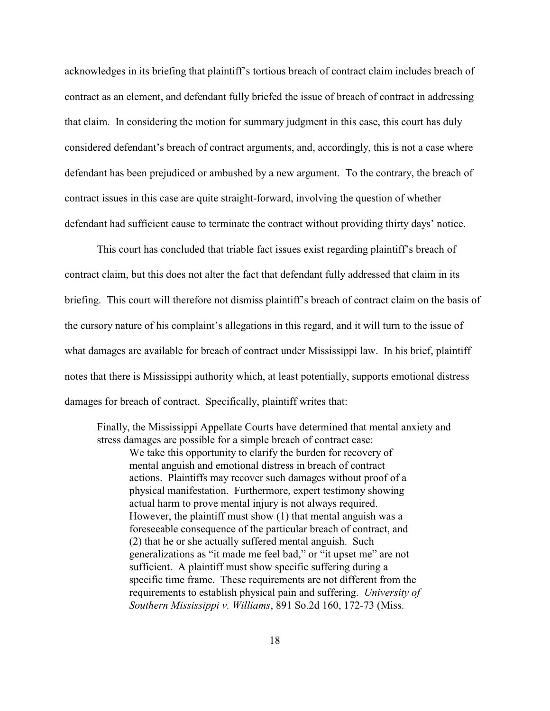acknowledges in its briefing that plaintiff's tortious breach of contract claim includes breach of contract as an element, and defendant fully briefed the issue of breach of contract in addressing that claim. In considering the motion for summary judgment in this case, this court has duly considered defendant's breach of contract arguments, and, accordingly, this is not a case where defendant has been prejudiced or ambushed by a new argument. To the contrary, the breach of contract issues in this case are quite straight-forward, involving the question of whether defendant had sufficient cause to terminate the contract without providing thirty days' notice.

This court has concluded that triable fact issues exist regarding plaintiff's breach of contract claim, but this does not alter the fact that defendant fully addressed that claim in its briefing. This court will therefore not dismiss plaintiff's breach of contract claim on the basis of the cursory nature of his complaint's allegations in this regard, and it will turn to the issue of what damages are available for breach of contract under Mississippi law. In his brief, plaintiff notes that there is Mississippi authority which, at least potentially, supports emotional distress damages for breach of contract. Specifically, plaintiff writes that:

Finally, the Mississippi Appellate Courts have determined that mental anxiety and stress damages are possible for a simple breach of contract case:

We take this opportunity to clarify the burden for recovery of mental anguish and emotional distress in breach of contract actions. Plaintiffs may recover such damages without proof of a physical manifestation. Furthermore, expert testimony showing actual harm to prove mental injury is not always required. However, the plaintiff must show (1) that mental anguish was a foreseeable consequence of the particular breach of contract, and (2) that he or she actually suffered mental anguish. Such generalizations as "it made me feel bad," or "it upset me" are not sufficient. A plaintiff must show specific suffering during a specific time frame. These requirements are not different from the requirements to establish physical pain and suffering. *University of Southern Mississippi v. Williams*, 891 So.2d 160, 172-73 (Miss.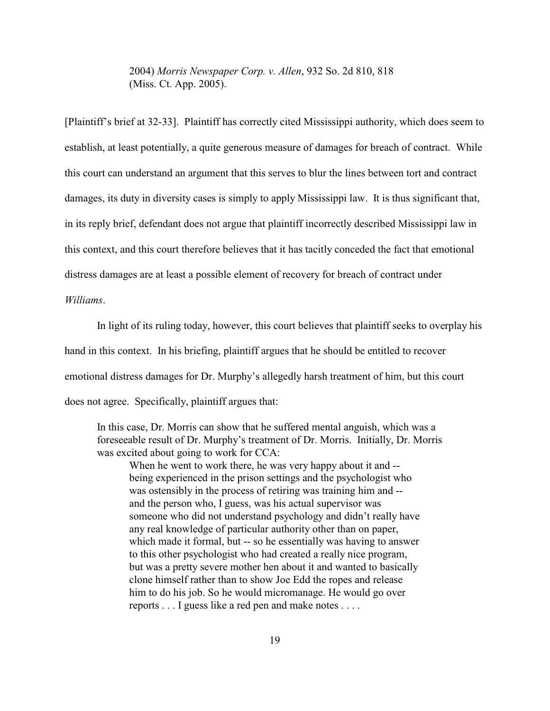2004) *Morris Newspaper Corp. v. Allen*, 932 So. 2d 810, 818 (Miss. Ct. App. 2005).

[Plaintiff's brief at 32-33]. Plaintiff has correctly cited Mississippi authority, which does seem to establish, at least potentially, a quite generous measure of damages for breach of contract. While this court can understand an argument that this serves to blur the lines between tort and contract damages, its duty in diversity cases is simply to apply Mississippi law. It is thus significant that, in its reply brief, defendant does not argue that plaintiff incorrectly described Mississippi law in this context, and this court therefore believes that it has tacitly conceded the fact that emotional distress damages are at least a possible element of recovery for breach of contract under

*Williams*.

In light of its ruling today, however, this court believes that plaintiff seeks to overplay his hand in this context. In his briefing, plaintiff argues that he should be entitled to recover emotional distress damages for Dr. Murphy's allegedly harsh treatment of him, but this court does not agree. Specifically, plaintiff argues that:

In this case, Dr. Morris can show that he suffered mental anguish, which was a foreseeable result of Dr. Murphy's treatment of Dr. Morris. Initially, Dr. Morris was excited about going to work for CCA:

When he went to work there, he was very happy about it and -being experienced in the prison settings and the psychologist who was ostensibly in the process of retiring was training him and - and the person who, I guess, was his actual supervisor was someone who did not understand psychology and didn't really have any real knowledge of particular authority other than on paper, which made it formal, but -- so he essentially was having to answer to this other psychologist who had created a really nice program, but was a pretty severe mother hen about it and wanted to basically clone himself rather than to show Joe Edd the ropes and release him to do his job. So he would micromanage. He would go over reports . . . I guess like a red pen and make notes . . . .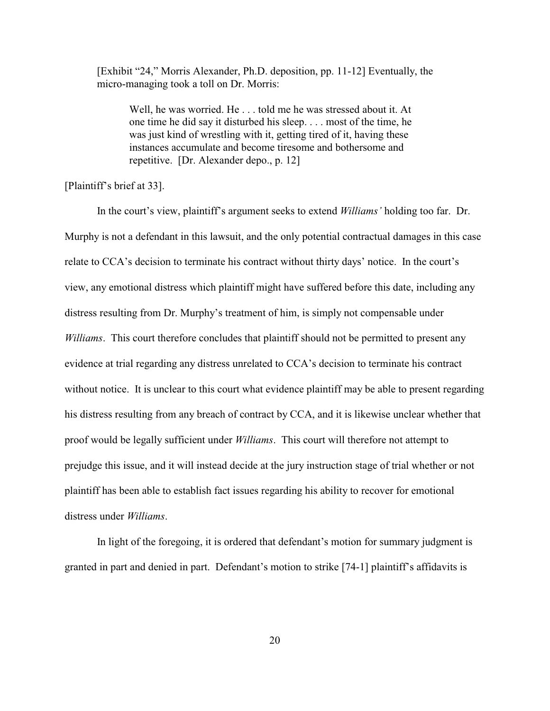[Exhibit "24," Morris Alexander, Ph.D. deposition, pp. 11-12] Eventually, the micro-managing took a toll on Dr. Morris:

Well, he was worried. He . . . told me he was stressed about it. At one time he did say it disturbed his sleep. . . . most of the time, he was just kind of wrestling with it, getting tired of it, having these instances accumulate and become tiresome and bothersome and repetitive. [Dr. Alexander depo., p. 12]

[Plaintiff's brief at 33].

In the court's view, plaintiff's argument seeks to extend *Williams'* holding too far. Dr. Murphy is not a defendant in this lawsuit, and the only potential contractual damages in this case relate to CCA's decision to terminate his contract without thirty days' notice. In the court's view, any emotional distress which plaintiff might have suffered before this date, including any distress resulting from Dr. Murphy's treatment of him, is simply not compensable under *Williams*. This court therefore concludes that plaintiff should not be permitted to present any evidence at trial regarding any distress unrelated to CCA's decision to terminate his contract without notice. It is unclear to this court what evidence plaintiff may be able to present regarding his distress resulting from any breach of contract by CCA, and it is likewise unclear whether that proof would be legally sufficient under *Williams*. This court will therefore not attempt to prejudge this issue, and it will instead decide at the jury instruction stage of trial whether or not plaintiff has been able to establish fact issues regarding his ability to recover for emotional distress under *Williams*.

In light of the foregoing, it is ordered that defendant's motion for summary judgment is granted in part and denied in part. Defendant's motion to strike [74-1] plaintiff's affidavits is